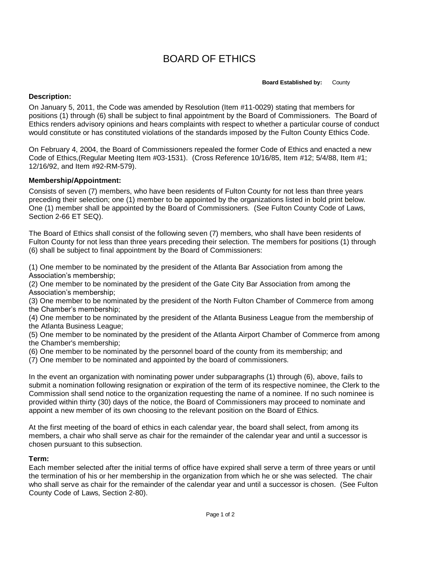# BOARD OF ETHICS

#### **Board Established by:** County

## **Description:**

On January 5, 2011, the Code was amended by Resolution (Item #11-0029) stating that members for positions (1) through (6) shall be subject to final appointment by the Board of Commissioners. The Board of Ethics renders advisory opinions and hears complaints with respect to whether a particular course of conduct would constitute or has constituted violations of the standards imposed by the Fulton County Ethics Code.

On February 4, 2004, the Board of Commissioners repealed the former Code of Ethics and enacted a new Code of Ethics,(Regular Meeting Item #03-1531). (Cross Reference 10/16/85, Item #12; 5/4/88, Item #1; 12/16/92, and Item #92-RM-579).

### **Membership/Appointment:**

Consists of seven (7) members, who have been residents of Fulton County for not less than three years preceding their selection; one (1) member to be appointed by the organizations listed in bold print below. One (1) member shall be appointed by the Board of Commissioners. (See Fulton County Code of Laws, Section 2-66 ET SEQ).

The Board of Ethics shall consist of the following seven (7) members, who shall have been residents of Fulton County for not less than three years preceding their selection. The members for positions (1) through (6) shall be subject to final appointment by the Board of Commissioners:

(1) One member to be nominated by the president of the Atlanta Bar Association from among the Association's membership;

(2) One member to be nominated by the president of the Gate City Bar Association from among the Association's membership;

(3) One member to be nominated by the president of the North Fulton Chamber of Commerce from among the Chamber's membership;

(4) One member to be nominated by the president of the Atlanta Business League from the membership of the Atlanta Business League;

(5) One member to be nominated by the president of the Atlanta Airport Chamber of Commerce from among the Chamber's membership;

- (6) One member to be nominated by the personnel board of the county from its membership; and
- (7) One member to be nominated and appointed by the board of commissioners.

In the event an organization with nominating power under subparagraphs (1) through (6), above, fails to submit a nomination following resignation or expiration of the term of its respective nominee, the Clerk to the Commission shall send notice to the organization requesting the name of a nominee. If no such nominee is provided within thirty (30) days of the notice, the Board of Commissioners may proceed to nominate and appoint a new member of its own choosing to the relevant position on the Board of Ethics.

At the first meeting of the board of ethics in each calendar year, the board shall select, from among its members, a chair who shall serve as chair for the remainder of the calendar year and until a successor is chosen pursuant to this subsection.

#### **Term:**

Each member selected after the initial terms of office have expired shall serve a term of three years or until the termination of his or her membership in the organization from which he or she was selected. The chair who shall serve as chair for the remainder of the calendar year and until a successor is chosen. (See Fulton County Code of Laws, Section 2-80).